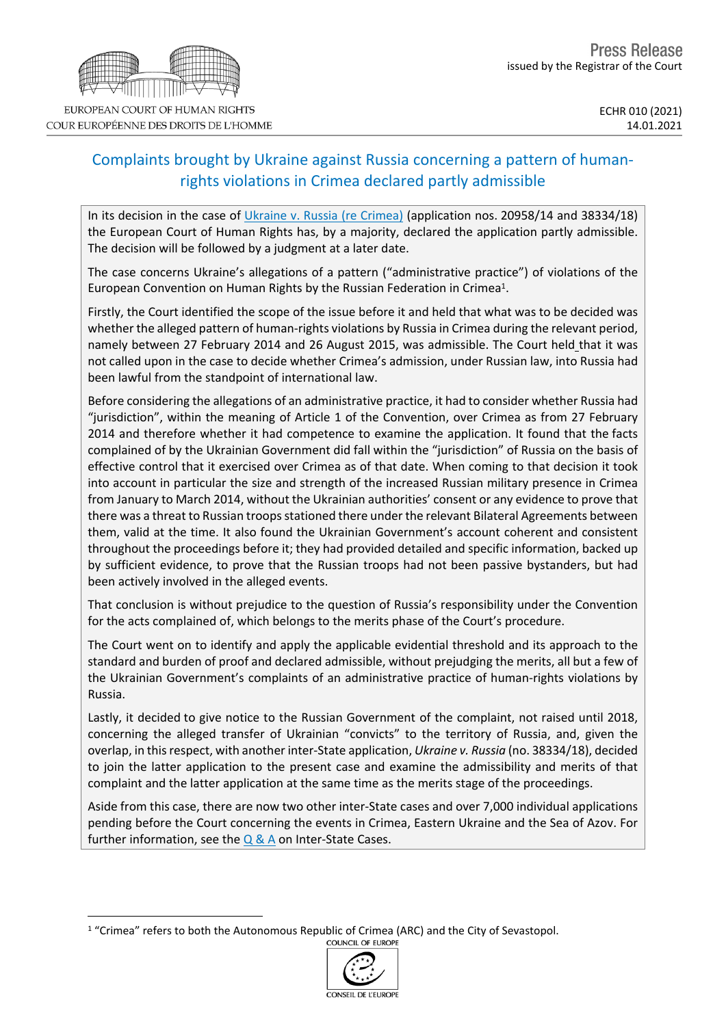# Complaints brought by Ukraine against Russia concerning a pattern of humanrights violations in Crimea declared partly admissible

In its decision in the case of Ukraine v. Russia (re [Crimea\)](http://hudoc.echr.coe.int/eng?i=001-207622) (application nos. 20958/14 and 38334/18) the European Court of Human Rights has, by a majority, declared the application partly admissible. The decision will be followed by a judgment at a later date.

The case concerns Ukraine's allegations of a pattern ("administrative practice") of violations of the European Convention on Human Rights by the Russian Federation in Crimea<sup>1</sup>.

Firstly, the Court identified the scope of the issue before it and held that what was to be decided was whether the alleged pattern of human-rights violations by Russia in Crimea during the relevant period, namely between 27 February 2014 and 26 August 2015, was admissible. The Court held that it was not called upon in the case to decide whether Crimea's admission, under Russian law, into Russia had been lawful from the standpoint of international law.

Before considering the allegations of an administrative practice, it had to consider whether Russia had "jurisdiction", within the meaning of Article 1 of the Convention, over Crimea as from 27 February 2014 and therefore whether it had competence to examine the application. It found that the facts complained of by the Ukrainian Government did fall within the "jurisdiction" of Russia on the basis of effective control that it exercised over Crimea as of that date. When coming to that decision it took into account in particular the size and strength of the increased Russian military presence in Crimea from January to March 2014, without the Ukrainian authorities' consent or any evidence to prove that there was a threat to Russian troops stationed there under the relevant Bilateral Agreements between them, valid at the time. It also found the Ukrainian Government's account coherent and consistent throughout the proceedings before it; they had provided detailed and specific information, backed up by sufficient evidence, to prove that the Russian troops had not been passive bystanders, but had been actively involved in the alleged events.

That conclusion is without prejudice to the question of Russia's responsibility under the Convention for the acts complained of, which belongs to the merits phase of the Court's procedure.

The Court went on to identify and apply the applicable evidential threshold and its approach to the standard and burden of proof and declared admissible, without prejudging the merits, all but a few of the Ukrainian Government's complaints of an administrative practice of human-rights violations by Russia.

Lastly, it decided to give notice to the Russian Government of the complaint, not raised until 2018, concerning the alleged transfer of Ukrainian "convicts" to the territory of Russia, and, given the overlap, in thisrespect, with another inter-State application, *Ukraine v. Russia* (no. 38334/18), decided to join the latter application to the present case and examine the admissibility and merits of that complaint and the latter application at the same time as the merits stage of the proceedings.

Aside from this case, there are now two other inter-State cases and over 7,000 individual applications pending before the Court concerning the events in Crimea, Eastern Ukraine and the Sea of Azov. For further information, see the  $Q & A$  $Q & A$  $Q & A$  on Inter-State Cases.

<sup>&</sup>lt;sup>1</sup> "Crimea" refers to both the Autonomous Republic of Crimea (ARC) and the City of Sevastopol.<br>COUNCIL OF EUROPE

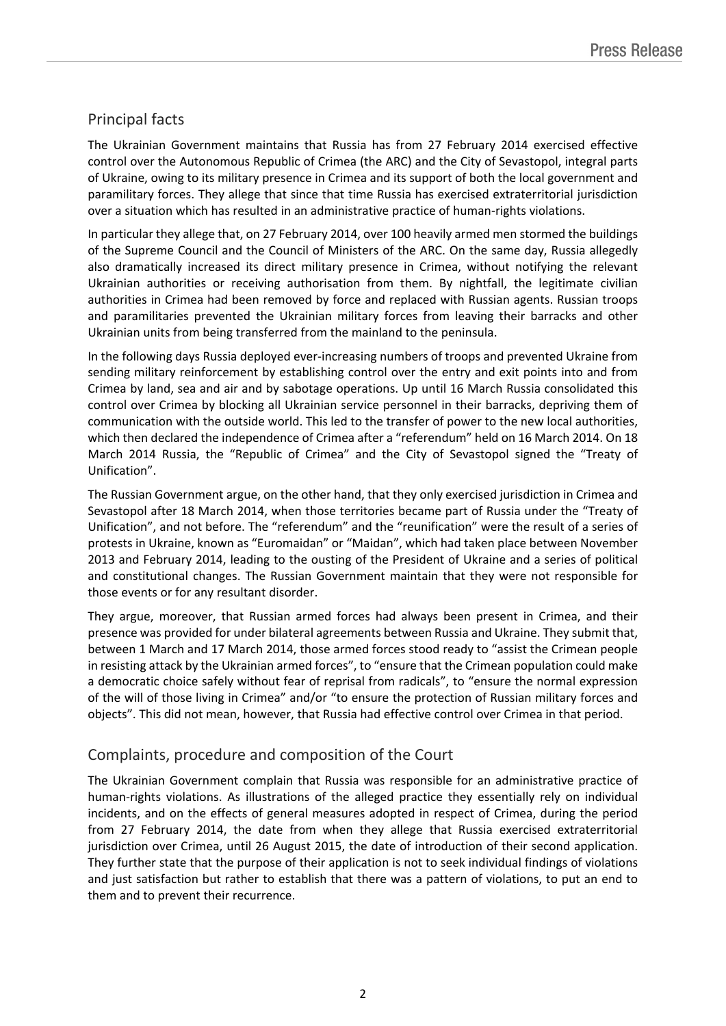# Principal facts

The Ukrainian Government maintains that Russia has from 27 February 2014 exercised effective control over the Autonomous Republic of Crimea (the ARC) and the City of Sevastopol, integral parts of Ukraine, owing to its military presence in Crimea and its support of both the local government and paramilitary forces. They allege that since that time Russia has exercised extraterritorial jurisdiction over a situation which has resulted in an administrative practice of human-rights violations.

In particular they allege that, on 27 February 2014, over 100 heavily armed men stormed the buildings of the Supreme Council and the Council of Ministers of the ARC. On the same day, Russia allegedly also dramatically increased its direct military presence in Crimea, without notifying the relevant Ukrainian authorities or receiving authorisation from them. By nightfall, the legitimate civilian authorities in Crimea had been removed by force and replaced with Russian agents. Russian troops and paramilitaries prevented the Ukrainian military forces from leaving their barracks and other Ukrainian units from being transferred from the mainland to the peninsula.

In the following days Russia deployed ever-increasing numbers of troops and prevented Ukraine from sending military reinforcement by establishing control over the entry and exit points into and from Crimea by land, sea and air and by sabotage operations. Up until 16 March Russia consolidated this control over Crimea by blocking all Ukrainian service personnel in their barracks, depriving them of communication with the outside world. This led to the transfer of power to the new local authorities, which then declared the independence of Crimea after a "referendum" held on 16 March 2014. On 18 March 2014 Russia, the "Republic of Crimea" and the City of Sevastopol signed the "Treaty of Unification".

The Russian Government argue, on the other hand, that they only exercised jurisdiction in Crimea and Sevastopol after 18 March 2014, when those territories became part of Russia under the "Treaty of Unification", and not before. The "referendum" and the "reunification" were the result of a series of protests in Ukraine, known as "Euromaidan" or "Maidan", which had taken place between November 2013 and February 2014, leading to the ousting of the President of Ukraine and a series of political and constitutional changes. The Russian Government maintain that they were not responsible for those events or for any resultant disorder.

They argue, moreover, that Russian armed forces had always been present in Crimea, and their presence was provided for under bilateral agreements between Russia and Ukraine. They submit that, between 1 March and 17 March 2014, those armed forces stood ready to "assist the Crimean people in resisting attack by the Ukrainian armed forces", to "ensure that the Crimean population could make a democratic choice safely without fear of reprisal from radicals", to "ensure the normal expression of the will of those living in Crimea" and/or "to ensure the protection of Russian military forces and objects". This did not mean, however, that Russia had effective control over Crimea in that period.

## Complaints, procedure and composition of the Court

The Ukrainian Government complain that Russia was responsible for an administrative practice of human-rights violations. As illustrations of the alleged practice they essentially rely on individual incidents, and on the effects of general measures adopted in respect of Crimea, during the period from 27 February 2014, the date from when they allege that Russia exercised extraterritorial jurisdiction over Crimea, until 26 August 2015, the date of introduction of their second application. They further state that the purpose of their application is not to seek individual findings of violations and just satisfaction but rather to establish that there was a pattern of violations, to put an end to them and to prevent their recurrence.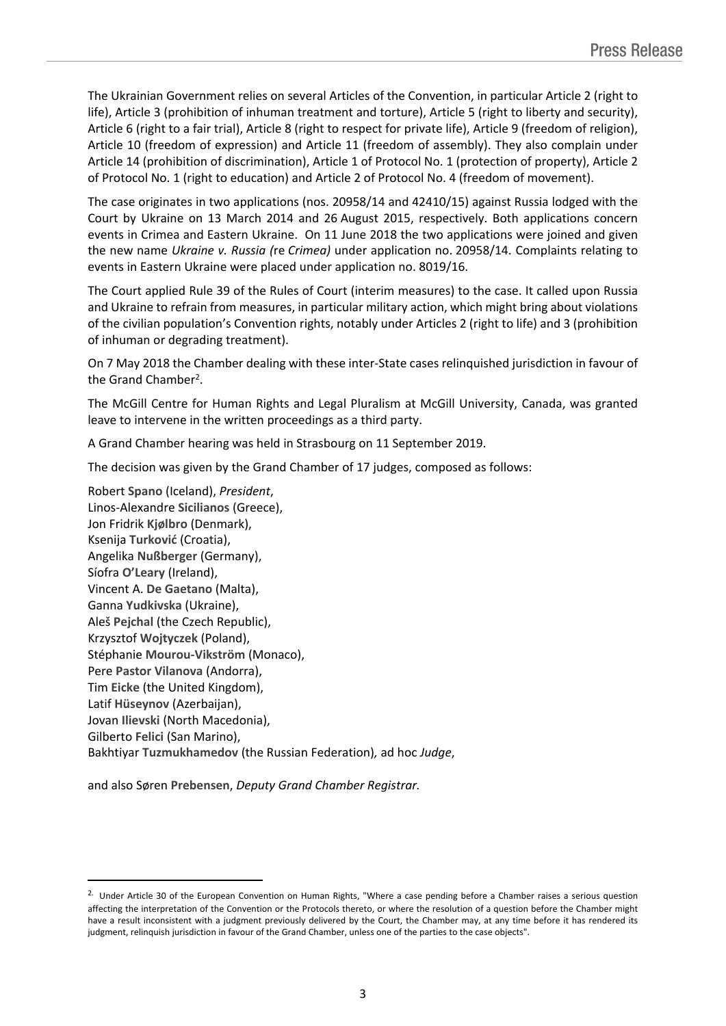The Ukrainian Government relies on several Articles of the Convention, in particular Article 2 (right to life), Article 3 (prohibition of inhuman treatment and torture), Article 5 (right to liberty and security), Article 6 (right to a fair trial), Article 8 (right to respect for private life), Article 9 (freedom of religion), Article 10 (freedom of expression) and Article 11 (freedom of assembly). They also complain under Article 14 (prohibition of discrimination), Article 1 of Protocol No. 1 (protection of property), Article 2 of Protocol No. 1 (right to education) and Article 2 of Protocol No. 4 (freedom of movement).

The case originates in two applications (nos. 20958/14 and 42410/15) against Russia lodged with the Court by Ukraine on 13 March 2014 and 26 August 2015, respectively. Both applications concern events in Crimea and Eastern Ukraine. On 11 June 2018 the two applications were joined and given the new name *Ukraine v. Russia (*re *Crimea)* under application no. 20958/14. Complaints relating to events in Eastern Ukraine were placed under application no. 8019/16.

The Court applied Rule 39 of the Rules of Court (interim measures) to the case. It called upon Russia and Ukraine to refrain from measures, in particular military action, which might bring about violations of the civilian population's Convention rights, notably under Articles 2 (right to life) and 3 (prohibition of inhuman or degrading treatment).

On 7 May 2018 the Chamber dealing with these inter-State cases relinquished jurisdiction in favour of the Grand Chamber<sup>2</sup>.

The McGill Centre for Human Rights and Legal Pluralism at McGill University, Canada, was granted leave to intervene in the written proceedings as a third party.

A Grand Chamber hearing was held in Strasbourg on 11 September 2019.

The decision was given by the Grand Chamber of 17 judges, composed as follows:

Robert **Spano** (Iceland), *President*, Linos-Alexandre **Sicilianos** (Greece), Jon Fridrik **Kjølbro** (Denmark), Ksenija **Turković** (Croatia), Angelika **Nußberger** (Germany), Síofra **O'Leary** (Ireland), Vincent A. **De Gaetano** (Malta), Ganna **Yudkivska** (Ukraine), Aleš **Pejchal** (the Czech Republic), Krzysztof **Wojtyczek** (Poland), Stéphanie **Mourou-Vikström** (Monaco), Pere **Pastor Vilanova** (Andorra), Tim **Eicke** (the United Kingdom), Latif **Hüseynov** (Azerbaijan), Jovan **Ilievski** (North Macedonia), Gilberto **Felici** (San Marino), Bakhtiyar **Tuzmukhamedov** (the Russian Federation)*,* ad hoc *Judge*,

and also Søren **Prebensen**, *Deputy Grand Chamber Registrar.*

<sup>&</sup>lt;sup>2.</sup> Under Article 30 of the European Convention on Human Rights, "Where a case pending before a Chamber raises a serious question affecting the interpretation of the Convention or the Protocols thereto, or where the resolution of a question before the Chamber might have a result inconsistent with a judgment previously delivered by the Court, the Chamber may, at any time before it has rendered its judgment, relinquish jurisdiction in favour of the Grand Chamber, unless one of the parties to the case objects".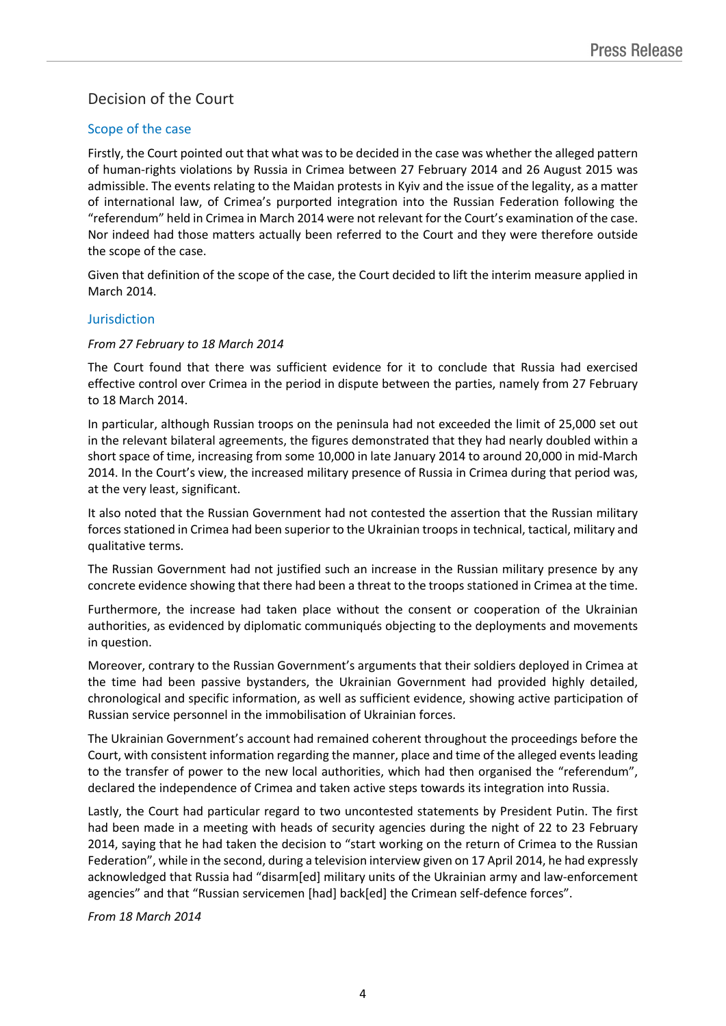# Decision of the Court

## Scope of the case

Firstly, the Court pointed out that what wasto be decided in the case was whether the alleged pattern of human-rights violations by Russia in Crimea between 27 February 2014 and 26 August 2015 was admissible. The events relating to the Maidan protests in Kyiv and the issue of the legality, as a matter of international law, of Crimea's purported integration into the Russian Federation following the "referendum" held in Crimea in March 2014 were not relevant for the Court's examination of the case. Nor indeed had those matters actually been referred to the Court and they were therefore outside the scope of the case.

Given that definition of the scope of the case, the Court decided to lift the interim measure applied in March 2014.

#### Jurisdiction

#### *From 27 February to 18 March 2014*

The Court found that there was sufficient evidence for it to conclude that Russia had exercised effective control over Crimea in the period in dispute between the parties, namely from 27 February to 18 March 2014.

In particular, although Russian troops on the peninsula had not exceeded the limit of 25,000 set out in the relevant bilateral agreements, the figures demonstrated that they had nearly doubled within a short space of time, increasing from some 10,000 in late January 2014 to around 20,000 in mid-March 2014. In the Court's view, the increased military presence of Russia in Crimea during that period was, at the very least, significant.

It also noted that the Russian Government had not contested the assertion that the Russian military forces stationed in Crimea had been superior to the Ukrainian troops in technical, tactical, military and qualitative terms.

The Russian Government had not justified such an increase in the Russian military presence by any concrete evidence showing that there had been a threat to the troops stationed in Crimea at the time.

Furthermore, the increase had taken place without the consent or cooperation of the Ukrainian authorities, as evidenced by diplomatic communiqués objecting to the deployments and movements in question.

Moreover, contrary to the Russian Government's arguments that their soldiers deployed in Crimea at the time had been passive bystanders, the Ukrainian Government had provided highly detailed, chronological and specific information, as well as sufficient evidence, showing active participation of Russian service personnel in the immobilisation of Ukrainian forces.

The Ukrainian Government's account had remained coherent throughout the proceedings before the Court, with consistent information regarding the manner, place and time of the alleged events leading to the transfer of power to the new local authorities, which had then organised the "referendum", declared the independence of Crimea and taken active steps towards its integration into Russia.

Lastly, the Court had particular regard to two uncontested statements by President Putin. The first had been made in a meeting with heads of security agencies during the night of 22 to 23 February 2014, saying that he had taken the decision to "start working on the return of Crimea to the Russian Federation", while in the second, during a television interview given on 17 April 2014, he had expressly acknowledged that Russia had "disarm[ed] military units of the Ukrainian army and law-enforcement agencies" and that "Russian servicemen [had] back[ed] the Crimean self-defence forces".

*From 18 March 2014*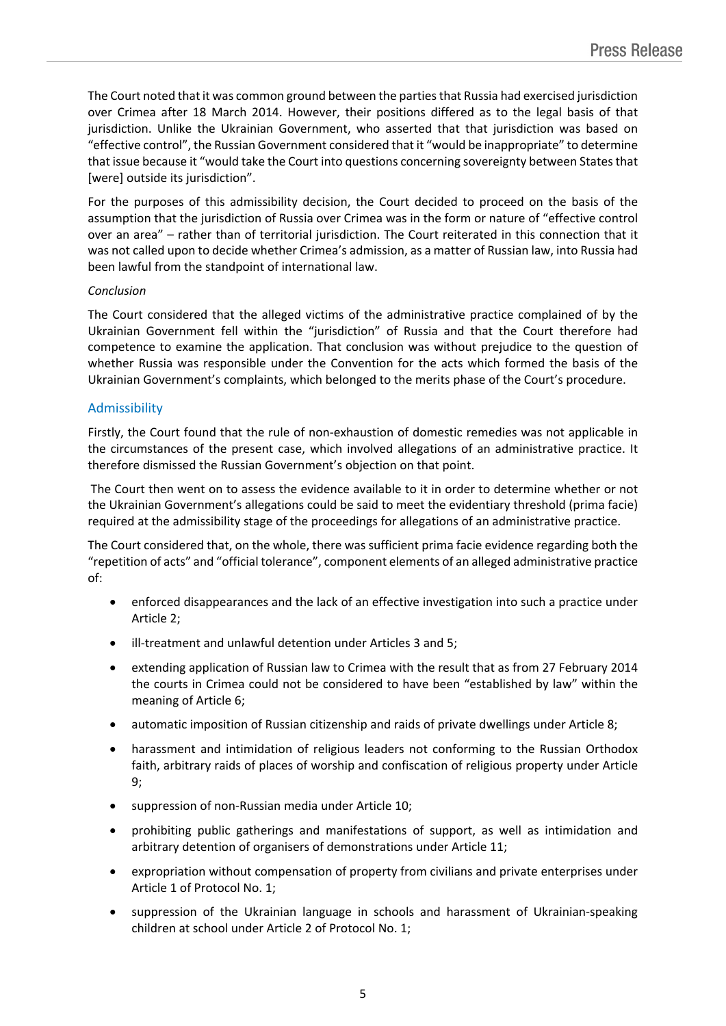The Court noted that it was common ground between the partiesthat Russia had exercised jurisdiction over Crimea after 18 March 2014. However, their positions differed as to the legal basis of that jurisdiction. Unlike the Ukrainian Government, who asserted that that jurisdiction was based on "effective control", the Russian Government considered that it "would be inappropriate" to determine that issue because it "would take the Court into questions concerning sovereignty between Statesthat [were] outside its jurisdiction".

For the purposes of this admissibility decision, the Court decided to proceed on the basis of the assumption that the jurisdiction of Russia over Crimea was in the form or nature of "effective control over an area" – rather than of territorial jurisdiction. The Court reiterated in this connection that it was not called upon to decide whether Crimea's admission, as a matter of Russian law, into Russia had been lawful from the standpoint of international law.

### *Conclusion*

The Court considered that the alleged victims of the administrative practice complained of by the Ukrainian Government fell within the "jurisdiction" of Russia and that the Court therefore had competence to examine the application. That conclusion was without prejudice to the question of whether Russia was responsible under the Convention for the acts which formed the basis of the Ukrainian Government's complaints, which belonged to the merits phase of the Court's procedure.

### Admissibility

Firstly, the Court found that the rule of non-exhaustion of domestic remedies was not applicable in the circumstances of the present case, which involved allegations of an administrative practice. It therefore dismissed the Russian Government's objection on that point.

The Court then went on to assess the evidence available to it in order to determine whether or not the Ukrainian Government's allegations could be said to meet the evidentiary threshold (prima facie) required at the admissibility stage of the proceedings for allegations of an administrative practice.

The Court considered that, on the whole, there was sufficient prima facie evidence regarding both the "repetition of acts" and "official tolerance", component elements of an alleged administrative practice of:

- enforced disappearances and the lack of an effective investigation into such a practice under Article 2;
- ill-treatment and unlawful detention under Articles 3 and 5;
- extending application of Russian law to Crimea with the result that as from 27 February 2014 the courts in Crimea could not be considered to have been "established by law" within the meaning of Article 6;
- automatic imposition of Russian citizenship and raids of private dwellings under Article 8;
- harassment and intimidation of religious leaders not conforming to the Russian Orthodox faith, arbitrary raids of places of worship and confiscation of religious property under Article 9;
- suppression of non-Russian media under Article 10;
- prohibiting public gatherings and manifestations of support, as well as intimidation and arbitrary detention of organisers of demonstrations under Article 11;
- expropriation without compensation of property from civilians and private enterprises under Article 1 of Protocol No. 1;
- suppression of the Ukrainian language in schools and harassment of Ukrainian-speaking children at school under Article 2 of Protocol No. 1;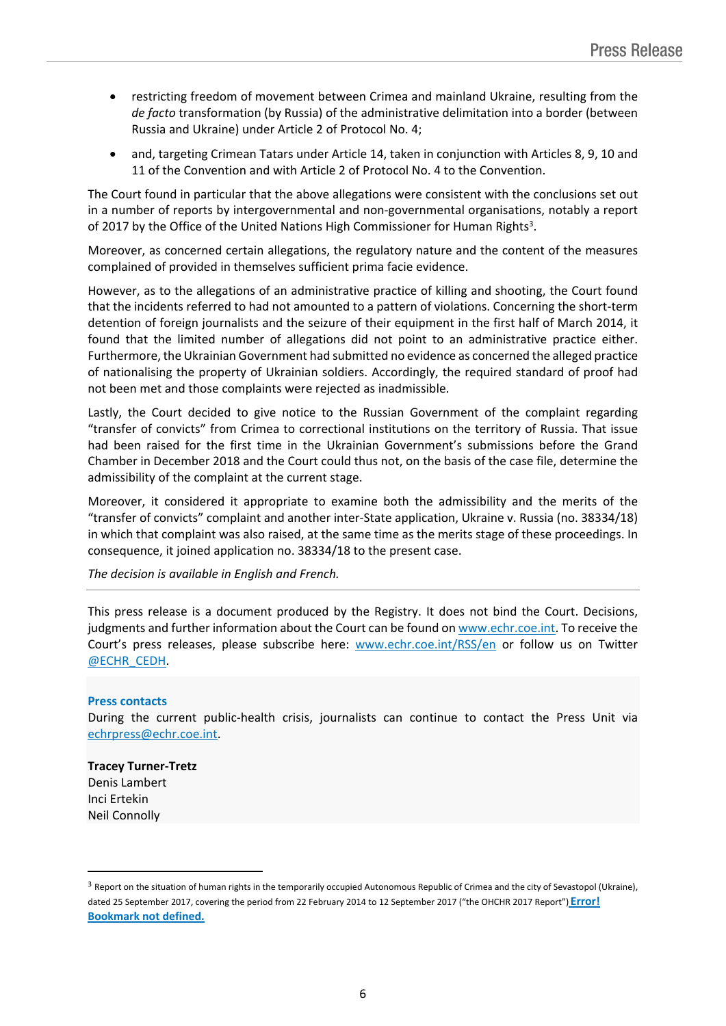- restricting freedom of movement between Crimea and mainland Ukraine, resulting from the *de facto* transformation (by Russia) of the administrative delimitation into a border (between Russia and Ukraine) under Article 2 of Protocol No. 4;
- and, targeting Crimean Tatars under Article 14, taken in conjunction with Articles 8, 9, 10 and 11 of the Convention and with Article 2 of Protocol No. 4 to the Convention.

The Court found in particular that the above allegations were consistent with the conclusions set out in a number of reports by intergovernmental and non-governmental organisations, notably a report of 2017 by the Office of the United Nations High Commissioner for Human Rights<sup>3</sup>.

Moreover, as concerned certain allegations, the regulatory nature and the content of the measures complained of provided in themselves sufficient prima facie evidence.

However, as to the allegations of an administrative practice of killing and shooting, the Court found that the incidents referred to had not amounted to a pattern of violations. Concerning the short-term detention of foreign journalists and the seizure of their equipment in the first half of March 2014, it found that the limited number of allegations did not point to an administrative practice either. Furthermore, the Ukrainian Government had submitted no evidence as concerned the alleged practice of nationalising the property of Ukrainian soldiers. Accordingly, the required standard of proof had not been met and those complaints were rejected as inadmissible.

Lastly, the Court decided to give notice to the Russian Government of the complaint regarding "transfer of convicts" from Crimea to correctional institutions on the territory of Russia. That issue had been raised for the first time in the Ukrainian Government's submissions before the Grand Chamber in December 2018 and the Court could thus not, on the basis of the case file, determine the admissibility of the complaint at the current stage.

Moreover, it considered it appropriate to examine both the admissibility and the merits of the "transfer of convicts" complaint and another inter-State application, Ukraine v. Russia (no. 38334/18) in which that complaint was also raised, at the same time as the merits stage of these proceedings. In consequence, it joined application no. 38334/18 to the present case.

*The decision is available in English and French.*

This press release is a document produced by the Registry. It does not bind the Court. Decisions, judgments and further information about the Court can be found on [www.echr.coe.int.](http://www.echr.coe.int/) To receive the Court's press releases, please subscribe here: [www.echr.coe.int/RSS/en](http://www.echr.coe.int/RSS/en) or follow us on Twitter [@ECHR\\_CEDH](https://twitter.com/ECHR_CEDH).

#### **Press contacts**

During the current public-health crisis, journalists can continue to contact the Press Unit via [echrpress@echr.coe.int](mailto:echrpress@echr.coe.int).

#### **Tracey Turner-Tretz**

Denis Lambert Inci Ertekin Neil Connolly

<sup>&</sup>lt;sup>3</sup> Report on the situation of human rights in the temporarily occupied Autonomous Republic of Crimea and the city of Sevastopol (Ukraine), dated 25 September 2017, covering the period from 22 February 2014 to 12 September 2017 ("the OHCHR 2017 Report") **Error! Bookmark not defined.**